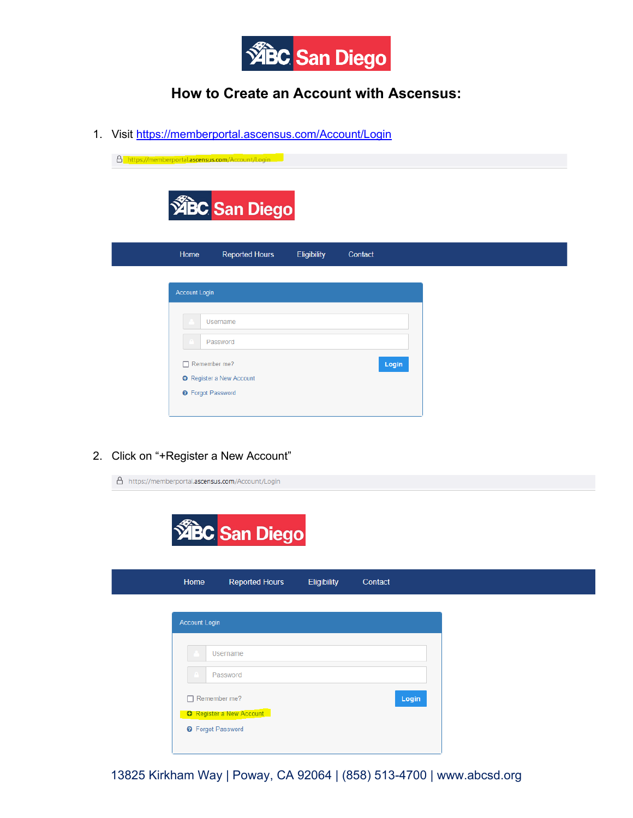

## **How to Create an Account with Ascensus:**

1. Visit<https://memberportal.ascensus.com/Account/Login>

|                          | A https://memberportal.ascensus.com/Account/Login |             |         |
|--------------------------|---------------------------------------------------|-------------|---------|
|                          |                                                   |             |         |
|                          | <b>ABC San Diego</b>                              |             |         |
| Home                     | <b>Reported Hours</b>                             | Eligibility | Contact |
|                          |                                                   |             |         |
| <b>Account Login</b>     |                                                   |             |         |
|                          | Username                                          |             |         |
|                          | Password                                          |             |         |
| $\Box$ Remember me?      |                                                   |             | Login   |
| <b>O</b> Forgot Password | <b>O</b> Register a New Account                   |             |         |
|                          |                                                   |             |         |

2. Click on "+Register a New Account"

|                          | △ https://memberportal.ascensus.com/Account/Login |             |         |  |
|--------------------------|---------------------------------------------------|-------------|---------|--|
|                          |                                                   |             |         |  |
|                          |                                                   |             |         |  |
|                          | <b>ABC San Diego</b>                              |             |         |  |
|                          |                                                   |             |         |  |
| Home                     | <b>Reported Hours</b>                             | Eligibility | Contact |  |
|                          |                                                   |             |         |  |
| Account Login            |                                                   |             |         |  |
|                          |                                                   |             |         |  |
|                          | Username                                          |             |         |  |
|                          | Password                                          |             |         |  |
|                          |                                                   |             |         |  |
| Remember me?             |                                                   |             | Login   |  |
|                          | <b>O</b> Register a New Account                   |             |         |  |
| <b>O</b> Forgot Password |                                                   |             |         |  |
|                          |                                                   |             |         |  |

13825 Kirkham Way | Poway, CA 92064 | (858) 513-4700 | www.abcsd.org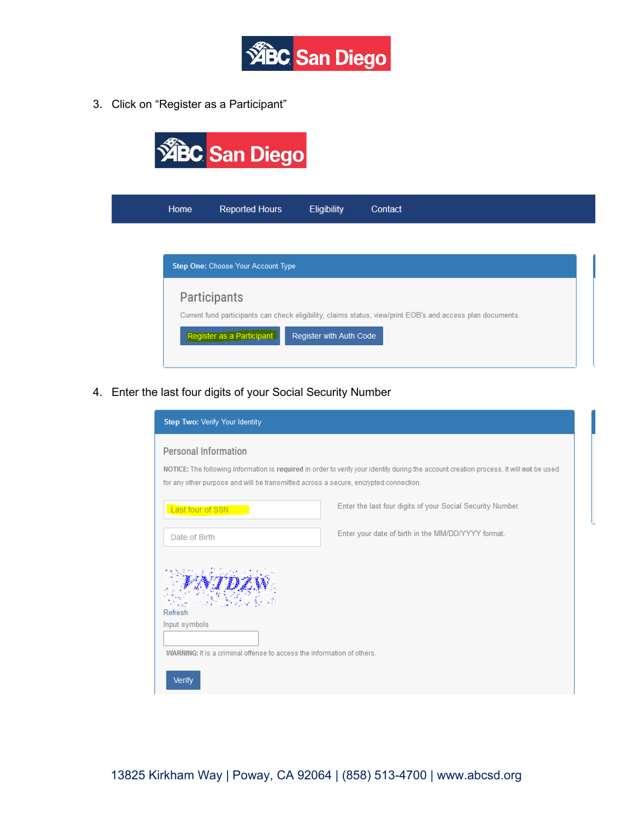

3. Click on "Register as a Participant"

| Home | <b>Reported Hours</b>              | <b>Eligibility</b> | Contact |
|------|------------------------------------|--------------------|---------|
|      |                                    |                    |         |
|      | Step One: Choose Your Account Type |                    |         |
|      |                                    |                    |         |
|      | <b>Participants</b>                |                    |         |
|      |                                    |                    |         |

4. Enter the last four digits of your Social Security Number

| Step Two: Verify Your Identity                                                                                      |                                                                                                                                         |
|---------------------------------------------------------------------------------------------------------------------|-----------------------------------------------------------------------------------------------------------------------------------------|
| <b>Personal Information</b><br>for any other purpose and will be transmitted across a secure, encrypted connection. | NOTICE: The following information is required in order to verify your identity during the account creation process. It will not be used |
| Last four of SSN                                                                                                    | Enter the last four digits of your Social Security Number.                                                                              |
| Date of Birth                                                                                                       | Enter your date of birth in the MM/DD/YYYY format.                                                                                      |
| Refresh<br>Input symbols<br>WARNING: It is a criminal offense to access the information of others.<br><b>Verify</b> |                                                                                                                                         |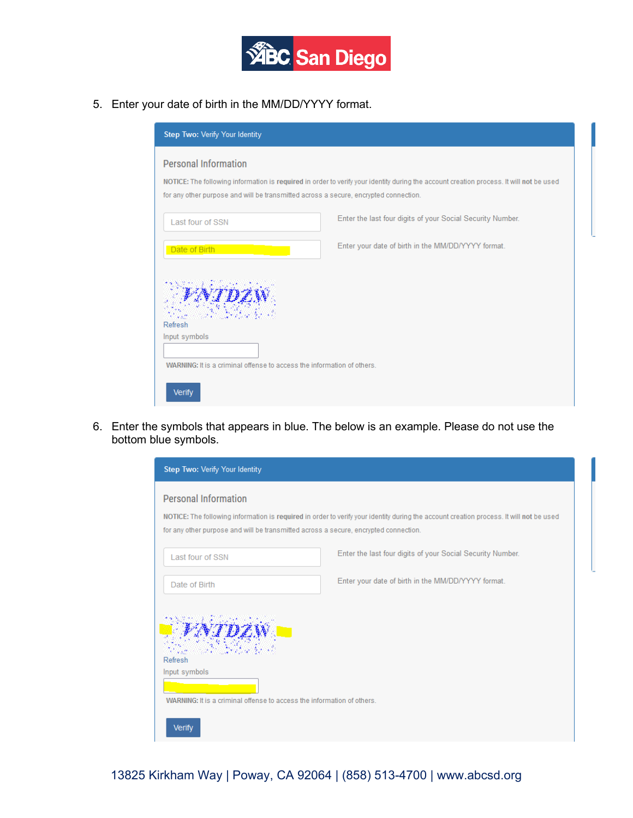

5. Enter your date of birth in the MM/DD/YYYY format.

| Step Two: Verify Your Identity                                                                                      |                                                                                                                                         |
|---------------------------------------------------------------------------------------------------------------------|-----------------------------------------------------------------------------------------------------------------------------------------|
| <b>Personal Information</b><br>for any other purpose and will be transmitted across a secure, encrypted connection. | NOTICE: The following information is required in order to verify your identity during the account creation process. It will not be used |
| Last four of SSN                                                                                                    | Enter the last four digits of your Social Security Number.                                                                              |
| Date of Birth                                                                                                       | Enter your date of birth in the MM/DD/YYYY format.                                                                                      |
| Refresh<br>Input symbols<br>WARNING: It is a criminal offense to access the information of others.                  |                                                                                                                                         |
| Verify                                                                                                              |                                                                                                                                         |

6. Enter the symbols that appears in blue. The below is an example. Please do not use the bottom blue symbols.

| Step Two: Verify Your Identity                                                       |                                                                                                                                         |
|--------------------------------------------------------------------------------------|-----------------------------------------------------------------------------------------------------------------------------------------|
| <b>Personal Information</b>                                                          |                                                                                                                                         |
| for any other purpose and will be transmitted across a secure, encrypted connection. | NOTICE: The following information is required in order to verify your identity during the account creation process. It will not be used |
| Last four of SSN                                                                     | Enter the last four digits of your Social Security Number.                                                                              |
| Date of Birth                                                                        | Enter your date of birth in the MM/DD/YYYY format.                                                                                      |
| Refresh<br>Input symbols                                                             |                                                                                                                                         |
| WARNING: It is a criminal offense to access the information of others.               |                                                                                                                                         |
| <b>Verify</b>                                                                        |                                                                                                                                         |

13825 Kirkham Way | Poway, CA 92064 | (858) 513-4700 | www.abcsd.org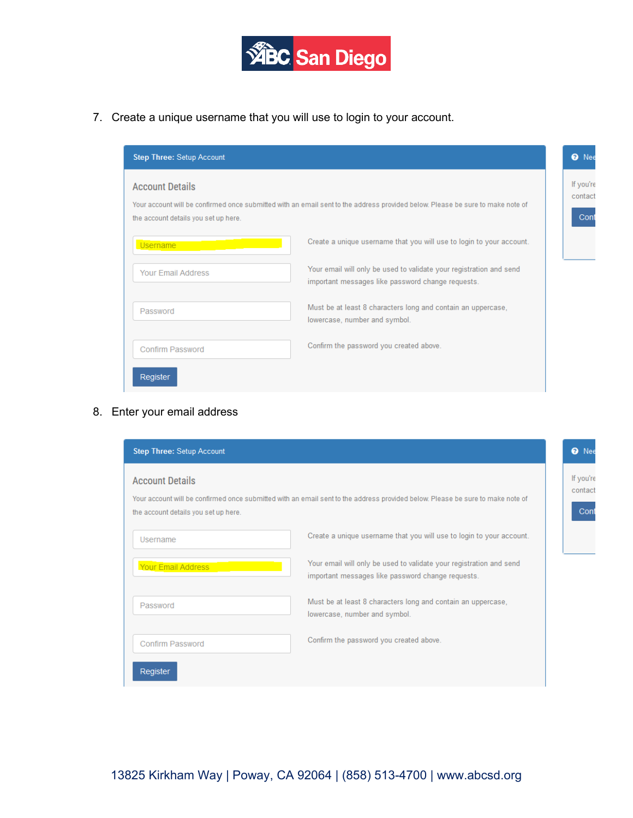

7. Create a unique username that you will use to login to your account.

| <b>Step Three: Setup Account</b>                               |                                                                                                                                |
|----------------------------------------------------------------|--------------------------------------------------------------------------------------------------------------------------------|
| <b>Account Details</b><br>the account details you set up here. | Your account will be confirmed once submitted with an email sent to the address provided below. Please be sure to make note of |
| <b>Username</b>                                                | Create a unique username that you will use to login to your account.                                                           |
| <b>Your Email Address</b>                                      | Your email will only be used to validate your registration and send<br>important messages like password change requests.       |
| Password                                                       | Must be at least 8 characters long and contain an uppercase,<br>lowercase, number and symbol.                                  |
| <b>Confirm Password</b>                                        | Confirm the password you created above.                                                                                        |
| Register                                                       |                                                                                                                                |

## 8. Enter your email address

| <b>Step Three: Setup Account</b>                               |                                                                                                                                |
|----------------------------------------------------------------|--------------------------------------------------------------------------------------------------------------------------------|
| <b>Account Details</b><br>the account details you set up here. | Your account will be confirmed once submitted with an email sent to the address provided below. Please be sure to make note of |
| Username                                                       | Create a unique username that you will use to login to your account.                                                           |
| Your Email Address                                             | Your email will only be used to validate your registration and send<br>important messages like password change requests.       |
| Password                                                       | Must be at least 8 characters long and contain an uppercase,<br>lowercase, number and symbol.                                  |
| <b>Confirm Password</b>                                        | Confirm the password you created above.                                                                                        |
| Register                                                       |                                                                                                                                |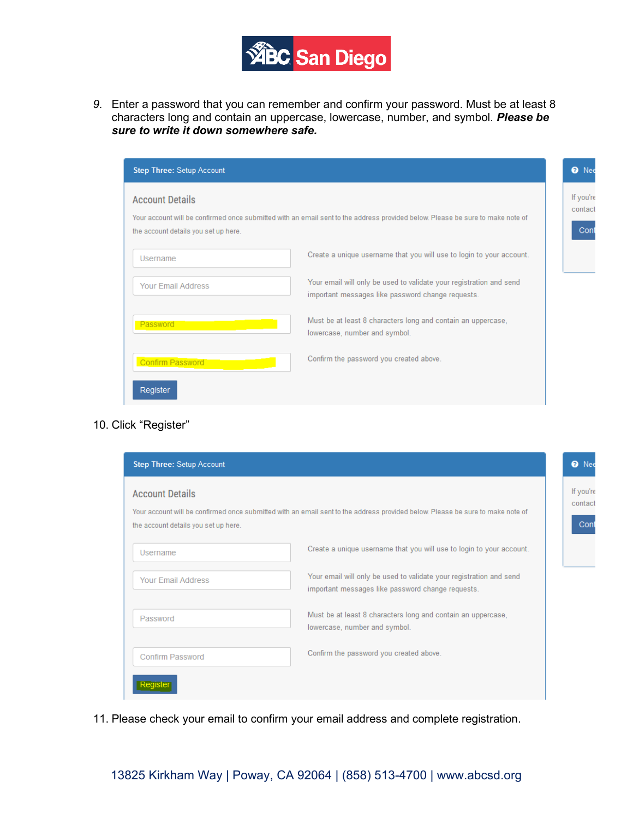

*9.* Enter a password that you can remember and confirm your password. Must be at least 8 characters long and contain an uppercase, lowercase, number, and symbol. *Please be sure to write it down somewhere safe.*

| <b>Step Three: Setup Account</b>                               |                                                                                                                                | <b>O</b> Nee                 |
|----------------------------------------------------------------|--------------------------------------------------------------------------------------------------------------------------------|------------------------------|
| <b>Account Details</b><br>the account details you set up here. | Your account will be confirmed once submitted with an email sent to the address provided below. Please be sure to make note of | If you're<br>contact<br>Cont |
| Username                                                       | Create a unique username that you will use to login to your account.                                                           |                              |
| <b>Your Email Address</b>                                      | Your email will only be used to validate your registration and send<br>important messages like password change requests.       |                              |
| Password                                                       | Must be at least 8 characters long and contain an uppercase,<br>lowercase, number and symbol.                                  |                              |
| <b>Confirm Password</b>                                        | Confirm the password you created above.                                                                                        |                              |
| Register                                                       |                                                                                                                                |                              |

## 10. Click "Register"

| <b>Account Details</b>               |                                                                                                                                |
|--------------------------------------|--------------------------------------------------------------------------------------------------------------------------------|
| the account details you set up here. | Your account will be confirmed once submitted with an email sent to the address provided below. Please be sure to make note of |
| Username                             | Create a unique username that you will use to login to your account.                                                           |
| <b>Your Email Address</b>            | Your email will only be used to validate your registration and send<br>important messages like password change requests.       |
| Password                             | Must be at least 8 characters long and contain an uppercase,<br>lowercase, number and symbol.                                  |
| <b>Confirm Password</b>              | Confirm the password you created above.                                                                                        |

11. Please check your email to confirm your email address and complete registration.